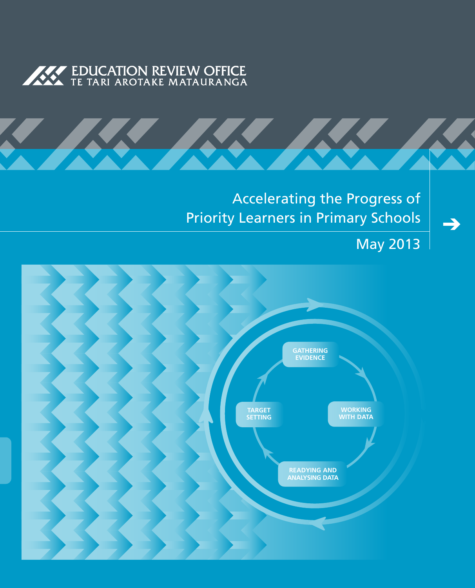



# Accelerating the Progress of Priority Learners in Primary Schools

May 2013

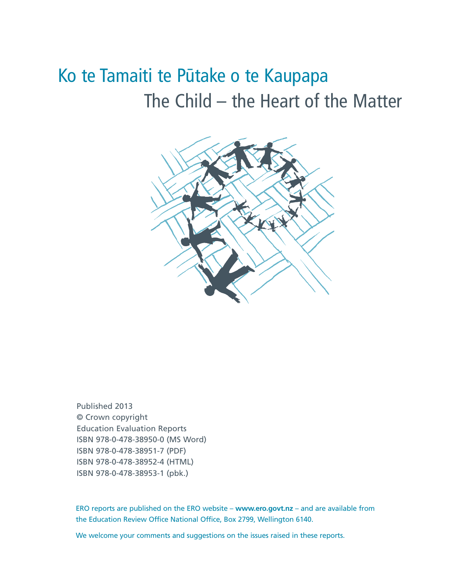# Ko te Tamaiti te Pūtake o te Kaupapa The Child – the Heart of the Matter



Published 2013 © Crown copyright Education Evaluation Reports ISBN 978-0-478-38950-0 (MS Word) ISBN 978-0-478-38951-7 (PDF) ISBN 978-0-478-38952-4 (HTML) ISBN 978-0-478-38953-1 (pbk.)

ERO reports are published on the ERO website – **www.ero.govt.nz** – and are available from the Education Review Office National Office, Box 2799, Wellington 6140.

We welcome your comments and suggestions on the issues raised in these reports.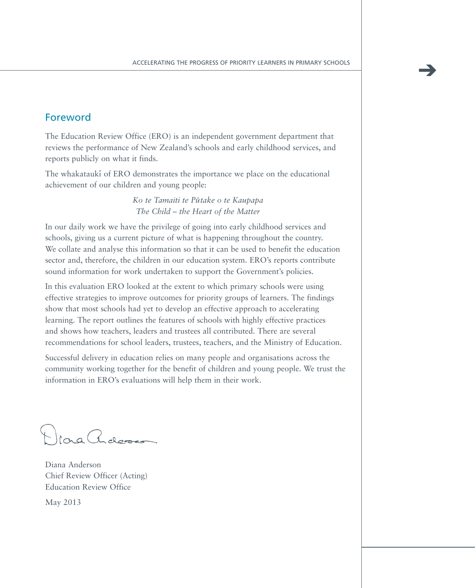# Foreword

The Education Review Office (ERO) is an independent government department that reviews the performance of New Zealand's schools and early childhood services, and reports publicly on what it finds.

The whakatauki of ERO demonstrates the importance we place on the educational achievement of our children and young people:

> *Ko te Tamaiti te Pu-take o te Kaupapa The Child – the Heart of the Matter*

In our daily work we have the privilege of going into early childhood services and schools, giving us a current picture of what is happening throughout the country. We collate and analyse this information so that it can be used to benefit the education sector and, therefore, the children in our education system. ERO's reports contribute sound information for work undertaken to support the Government's policies.

In this evaluation ERO looked at the extent to which primary schools were using effective strategies to improve outcomes for priority groups of learners. The findings show that most schools had yet to develop an effective approach to accelerating learning. The report outlines the features of schools with highly effective practices and shows how teachers, leaders and trustees all contributed. There are several recommendations for school leaders, trustees, teachers, and the Ministry of Education.

Successful delivery in education relies on many people and organisations across the community working together for the benefit of children and young people. We trust the information in ERO's evaluations will help them in their work.

Diora Adesse

Diana Anderson Chief Review Officer (Acting) Education Review Office

May 2013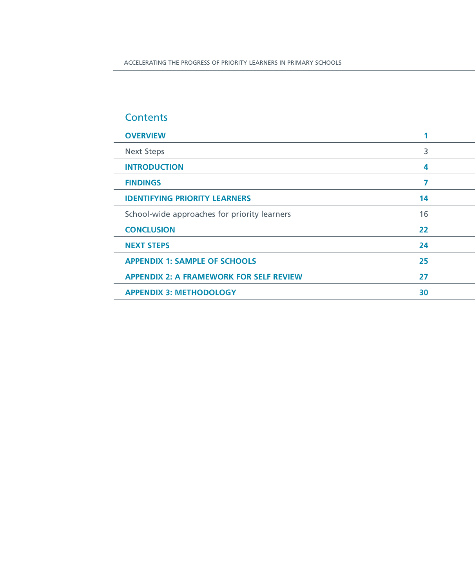Accelerating the Progress of Priority Learners in Primary Schools

# **Contents**

| <b>OVERVIEW</b>                                |    |  |
|------------------------------------------------|----|--|
| <b>Next Steps</b>                              | 3  |  |
| <b>INTRODUCTION</b>                            | 4  |  |
| <b>FINDINGS</b>                                | 7  |  |
| <b>IDENTIFYING PRIORITY LEARNERS</b>           | 14 |  |
| School-wide approaches for priority learners   | 16 |  |
| <b>CONCLUSION</b>                              | 22 |  |
| <b>NEXT STEPS</b>                              | 24 |  |
| <b>APPENDIX 1: SAMPLE OF SCHOOLS</b>           | 25 |  |
| <b>APPENDIX 2: A FRAMEWORK FOR SELF REVIEW</b> | 27 |  |
| <b>APPENDIX 3: METHODOLOGY</b>                 | 30 |  |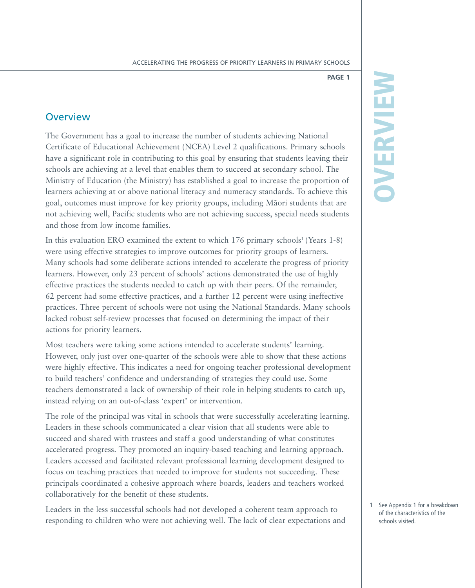# **Overview**

The Government has a goal to increase the number of students achieving National Certificate of Educational Achievement (NCEA) Level 2 qualifications. Primary schools have a significant role in contributing to this goal by ensuring that students leaving their schools are achieving at a level that enables them to succeed at secondary school. The Ministry of Education (the Ministry) has established a goal to increase the proportion of learners achieving at or above national literacy and numeracy standards. To achieve this goal, outcomes must improve for key priority groups, including Ma-ori students that are not achieving well, Pacific students who are not achieving success, special needs students and those from low income families.

In this evaluation ERO examined the extent to which 176 primary schools<sup>1</sup> (Years 1-8) were using effective strategies to improve outcomes for priority groups of learners. Many schools had some deliberate actions intended to accelerate the progress of priority learners. However, only 23 percent of schools' actions demonstrated the use of highly effective practices the students needed to catch up with their peers. Of the remainder, 62 percent had some effective practices, and a further 12 percent were using ineffective practices. Three percent of schools were not using the National Standards. Many schools lacked robust self-review processes that focused on determining the impact of their actions for priority learners.

Most teachers were taking some actions intended to accelerate students' learning. However, only just over one-quarter of the schools were able to show that these actions were highly effective. This indicates a need for ongoing teacher professional development to build teachers' confidence and understanding of strategies they could use. Some teachers demonstrated a lack of ownership of their role in helping students to catch up, instead relying on an out-of-class 'expert' or intervention.

The role of the principal was vital in schools that were successfully accelerating learning. Leaders in these schools communicated a clear vision that all students were able to succeed and shared with trustees and staff a good understanding of what constitutes accelerated progress. They promoted an inquiry-based teaching and learning approach. Leaders accessed and facilitated relevant professional learning development designed to focus on teaching practices that needed to improve for students not succeeding. These principals coordinated a cohesive approach where boards, leaders and teachers worked collaboratively for the benefit of these students.

Leaders in the less successful schools had not developed a coherent team approach to responding to children who were not achieving well. The lack of clear expectations and

# OVERVIEW OVERVIEW

1 See Appendix 1 for a breakdown of the characteristics of the schools visited.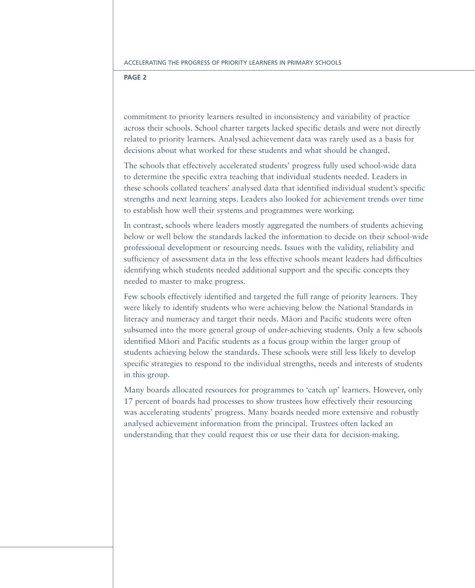commitment to priority learners resulted in inconsistency and variability of practice across their schools. School charter targets lacked specific details and were not directly related to priority learners. Analysed achievement data was rarely used as a basis for decisions about what worked for these students and what should be changed.

The schools that effectively accelerated students' progress fully used school-wide data to determine the specific extra teaching that individual students needed. Leaders in these schools collated teachers' analysed data that identified individual student's specific strengths and next learning steps. Leaders also looked for achievement trends over time to establish how well their systems and programmes were working.

In contrast, schools where leaders mostly aggregated the numbers of students achieving below or well below the standards lacked the information to decide on their school-wide professional development or resourcing needs. Issues with the validity, reliability and sufficiency of assessment data in the less effective schools meant leaders had difficulties identifying which students needed additional support and the specific concepts they needed to master to make progress.

Few schools effectively identified and targeted the full range of priority learners. They were likely to identify students who were achieving below the National Standards in literacy and numeracy and target their needs. Māori and Pacific students were often subsumed into the more general group of under-achieving students. Only a few schools identified Māori and Pacific students as a focus group within the larger group of students achieving below the standards. These schools were still less likely to develop specific strategies to respond to the individual strengths, needs and interests of students in this group.

Many boards allocated resources for programmes to 'catch up' learners. However, only 17 percent of boards had processes to show trustees how effectively their resourcing was accelerating students' progress. Many boards needed more extensive and robustly analysed achievement information from the principal. Trustees often lacked an understanding that they could request this or use their data for decision-making.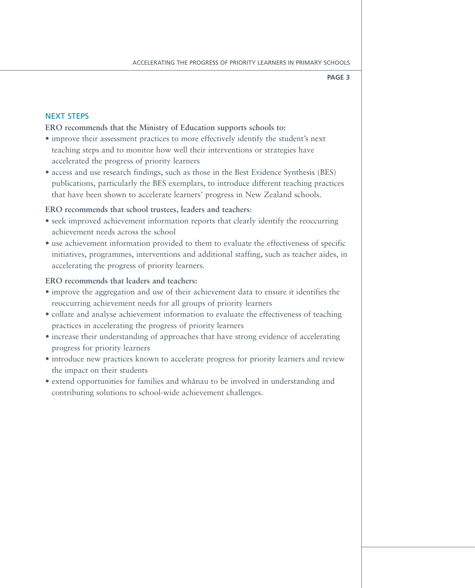# Next steps

# **ERO recommends that the Ministry of Education supports schools to:**

- improve their assessment practices to more effectively identify the student's next teaching steps and to monitor how well their interventions or strategies have accelerated the progress of priority learners
- access and use research findings, such as those in the Best Evidence Synthesis (BES) publications, particularly the BES exemplars, to introduce different teaching practices that have been shown to accelerate learners' progress in New Zealand schools.

# **ERO recommends that school trustees, leaders and teachers**:

- seek improved achievement information reports that clearly identify the reoccurring achievement needs across the school
- • use achievement information provided to them to evaluate the effectiveness of specific initiatives, programmes, interventions and additional staffing, such as teacher aides, in accelerating the progress of priority learners.

# **ERO recommends that leaders and teachers:**

- improve the aggregation and use of their achievement data to ensure it identifies the reoccurring achievement needs for all groups of priority learners
- collate and analyse achievement information to evaluate the effectiveness of teaching practices in accelerating the progress of priority learners
- increase their understanding of approaches that have strong evidence of accelerating progress for priority learners
- • introduce new practices known to accelerate progress for priority learners and review the impact on their students
- extend opportunities for families and whanau to be involved in understanding and contributing solutions to school-wide achievement challenges.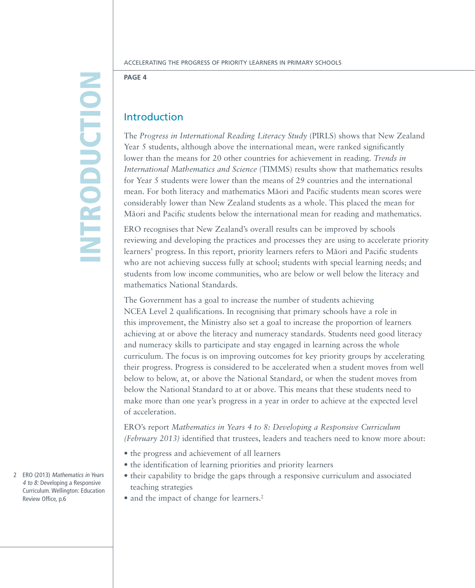# **INTRODUCTIO** n

**Page 4**

# Introduction

The *Progress in International Reading Literacy Study* (PIRLS) shows that New Zealand Year 5 students, although above the international mean, were ranked significantly lower than the means for 20 other countries for achievement in reading. *Trends in International Mathematics and Science* (TIMMS) results show that mathematics results for Year 5 students were lower than the means of 29 countries and the international mean. For both literacy and mathematics Māori and Pacific students mean scores were considerably lower than New Zealand students as a whole. This placed the mean for Māori and Pacific students below the international mean for reading and mathematics.

ERO recognises that New Zealand's overall results can be improved by schools reviewing and developing the practices and processes they are using to accelerate priority learners' progress. In this report, priority learners refers to Māori and Pacific students who are not achieving success fully at school; students with special learning needs; and students from low income communities, who are below or well below the literacy and mathematics National Standards.

The Government has a goal to increase the number of students achieving NCEA Level 2 qualifications. In recognising that primary schools have a role in this improvement, the Ministry also set a goal to increase the proportion of learners achieving at or above the literacy and numeracy standards. Students need good literacy and numeracy skills to participate and stay engaged in learning across the whole curriculum. The focus is on improving outcomes for key priority groups by accelerating their progress. Progress is considered to be accelerated when a student moves from well below to below, at, or above the National Standard, or when the student moves from below the National Standard to at or above. This means that these students need to make more than one year's progress in a year in order to achieve at the expected level of acceleration.

ERO's report *Mathematics in Years 4 to 8: Developing a Responsive Curriculum (February 2013)* identified that trustees, leaders and teachers need to know more about:

- the progress and achievement of all learners
- the identification of learning priorities and priority learners
- their capability to bridge the gaps through a responsive curriculum and associated teaching strategies
- and the impact of change for learners.<sup>2</sup>

2 ERO (2013) Mathematics in Years 4 to 8: Developing a Responsive Curriculum. Wellington: Education Review Office, p.6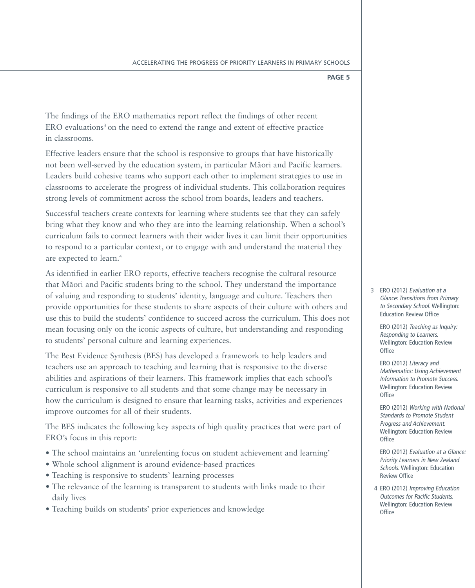The findings of the ERO mathematics report reflect the findings of other recent ERO evaluations<sup>3</sup> on the need to extend the range and extent of effective practice in classrooms.

Effective leaders ensure that the school is responsive to groups that have historically not been well-served by the education system, in particular Māori and Pacific learners. Leaders build cohesive teams who support each other to implement strategies to use in classrooms to accelerate the progress of individual students. This collaboration requires strong levels of commitment across the school from boards, leaders and teachers.

Successful teachers create contexts for learning where students see that they can safely bring what they know and who they are into the learning relationship. When a school's curriculum fails to connect learners with their wider lives it can limit their opportunities to respond to a particular context, or to engage with and understand the material they are expected to learn.4

As identified in earlier ERO reports, effective teachers recognise the cultural resource that Māori and Pacific students bring to the school. They understand the importance of valuing and responding to students' identity, language and culture. Teachers then provide opportunities for these students to share aspects of their culture with others and use this to build the students' confidence to succeed across the curriculum. This does not mean focusing only on the iconic aspects of culture, but understanding and responding to students' personal culture and learning experiences.

The Best Evidence Synthesis (BES) has developed a framework to help leaders and teachers use an approach to teaching and learning that is responsive to the diverse abilities and aspirations of their learners. This framework implies that each school's curriculum is responsive to all students and that some change may be necessary in how the curriculum is designed to ensure that learning tasks, activities and experiences improve outcomes for all of their students.

The BES indicates the following key aspects of high quality practices that were part of ERO's focus in this report:

- The school maintains an 'unrelenting focus on student achievement and learning'
- Whole school alignment is around evidence-based practices
- Teaching is responsive to students' learning processes
- The relevance of the learning is transparent to students with links made to their daily lives
- Teaching builds on students' prior experiences and knowledge

3 ERO (2012) Evaluation at a Glance: Transitions from Primary to Secondary School. Wellington: Education Review Office

ERO (2012) Teaching as Inquiry: Responding to Learners. Wellington: Education Review **Office** 

ERO (2012) Literacy and Mathematics: Using Achievement Information to Promote Success. Wellington: Education Review **Office** 

ERO (2012) Working with National Standards to Promote Student Progress and Achievement. Wellington: Education Review **Office** 

ERO (2012) Evaluation at a Glance: Priority Learners in New Zealand Schools. Wellington: Education Review Office

 4 ERO (2012) Improving Education Outcomes for Pacific Students. Wellington: Education Review **Office**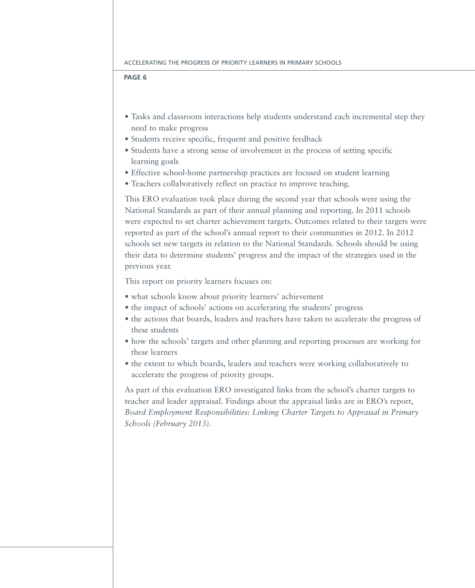- Tasks and classroom interactions help students understand each incremental step they need to make progress
- • Students receive specific, frequent and positive feedback
- • Students have a strong sense of involvement in the process of setting specific learning goals
- Effective school-home partnership practices are focused on student learning
- Teachers collaboratively reflect on practice to improve teaching.

This ERO evaluation took place during the second year that schools were using the National Standards as part of their annual planning and reporting. In 2011 schools were expected to set charter achievement targets. Outcomes related to their targets were reported as part of the school's annual report to their communities in 2012. In 2012 schools set new targets in relation to the National Standards. Schools should be using their data to determine students' progress and the impact of the strategies used in the previous year.

This report on priority learners focuses on:

- • what schools know about priority learners' achievement
- the impact of schools' actions on accelerating the students' progress
- the actions that boards, leaders and teachers have taken to accelerate the progress of these students
- how the schools' targets and other planning and reporting processes are working for these learners
- • the extent to which boards, leaders and teachers were working collaboratively to accelerate the progress of priority groups.

As part of this evaluation ERO investigated links from the school's charter targets to teacher and leader appraisal. Findings about the appraisal links are in ERO's report, *Board Employment Responsibilities: Linking Charter Targets to Appraisal in Primary Schools (February 2013).*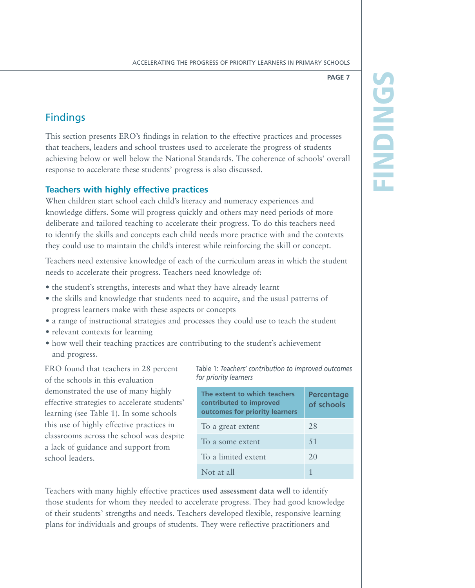# Find ings

**Page 7**

# **Findings**

This section presents ERO's findings in relation to the effective practices and processes that teachers, leaders and school trustees used to accelerate the progress of students achieving below or well below the National Standards. The coherence of schools' overall response to accelerate these students' progress is also discussed.

# **Teachers with highly effective practices**

When children start school each child's literacy and numeracy experiences and knowledge differs. Some will progress quickly and others may need periods of more deliberate and tailored teaching to accelerate their progress. To do this teachers need to identify the skills and concepts each child needs more practice with and the contexts they could use to maintain the child's interest while reinforcing the skill or concept.

Teachers need extensive knowledge of each of the curriculum areas in which the student needs to accelerate their progress. Teachers need knowledge of:

- the student's strengths, interests and what they have already learnt
- the skills and knowledge that students need to acquire, and the usual patterns of progress learners make with these aspects or concepts
- a range of instructional strategies and processes they could use to teach the student
- relevant contexts for learning
- how well their teaching practices are contributing to the student's achievement and progress.

ERO found that teachers in 28 percent of the schools in this evaluation demonstrated the use of many highly effective strategies to accelerate students' learning (see Table 1). In some schools this use of highly effective practices in classrooms across the school was despite a lack of guidance and support from school leaders.

Table 1: *Teachers' contribution to improved outcomes for priority learners*

| The extent to which teachers<br>contributed to improved<br>outcomes for priority learners | <b>Percentage</b><br>of schools |
|-------------------------------------------------------------------------------------------|---------------------------------|
| To a great extent                                                                         | 28                              |
| To a some extent                                                                          | .51                             |
| To a limited extent                                                                       | 20                              |
| Not at all                                                                                |                                 |

Teachers with many highly effective practices **used assessment data well** to identify those students for whom they needed to accelerate progress. They had good knowledge of their students' strengths and needs. Teachers developed flexible, responsive learning plans for individuals and groups of students. They were reflective practitioners and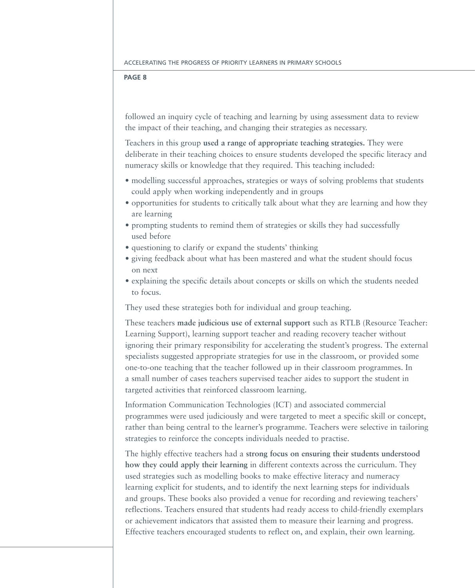followed an inquiry cycle of teaching and learning by using assessment data to review the impact of their teaching, and changing their strategies as necessary.

Teachers in this group **used a range of appropriate teaching strategies.** They were deliberate in their teaching choices to ensure students developed the specific literacy and numeracy skills or knowledge that they required. This teaching included:

- modelling successful approaches, strategies or ways of solving problems that students could apply when working independently and in groups
- opportunities for students to critically talk about what they are learning and how they are learning
- prompting students to remind them of strategies or skills they had successfully used before
- questioning to clarify or expand the students' thinking
- giving feedback about what has been mastered and what the student should focus on next
- explaining the specific details about concepts or skills on which the students needed to focus.

They used these strategies both for individual and group teaching.

These teachers **made judicious use of external support** such as RTLB (Resource Teacher: Learning Support), learning support teacher and reading recovery teacher without ignoring their primary responsibility for accelerating the student's progress. The external specialists suggested appropriate strategies for use in the classroom, or provided some one-to-one teaching that the teacher followed up in their classroom programmes. In a small number of cases teachers supervised teacher aides to support the student in targeted activities that reinforced classroom learning.

Information Communication Technologies (ICT) and associated commercial programmes were used judiciously and were targeted to meet a specific skill or concept, rather than being central to the learner's programme. Teachers were selective in tailoring strategies to reinforce the concepts individuals needed to practise.

The highly effective teachers had a **strong focus on ensuring their students understood how they could apply their learning** in different contexts across the curriculum. They used strategies such as modelling books to make effective literacy and numeracy learning explicit for students, and to identify the next learning steps for individuals and groups. These books also provided a venue for recording and reviewing teachers' reflections. Teachers ensured that students had ready access to child-friendly exemplars or achievement indicators that assisted them to measure their learning and progress. Effective teachers encouraged students to reflect on, and explain, their own learning.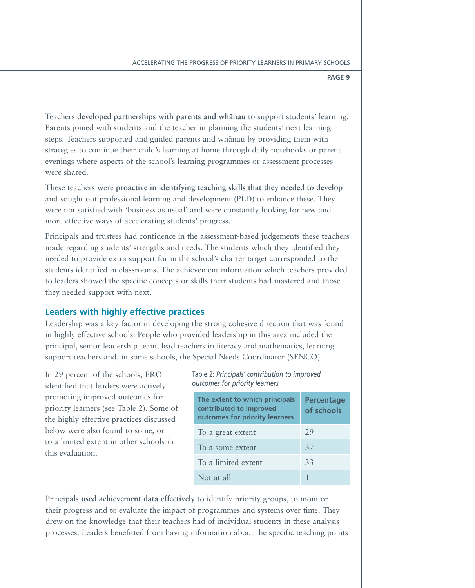Teachers **developed partnerships with parents and whanau** to support students' learning. Parents joined with students and the teacher in planning the students' next learning steps. Teachers supported and guided parents and whānau by providing them with strategies to continue their child's learning at home through daily notebooks or parent evenings where aspects of the school's learning programmes or assessment processes were shared.

These teachers were **proactive in identifying teaching skills that they needed to develop** and sought out professional learning and development (PLD) to enhance these. They were not satisfied with 'business as usual' and were constantly looking for new and more effective ways of accelerating students' progress.

Principals and trustees had confidence in the assessment-based judgements these teachers made regarding students' strengths and needs. The students which they identified they needed to provide extra support for in the school's charter target corresponded to the students identified in classrooms. The achievement information which teachers provided to leaders showed the specific concepts or skills their students had mastered and those they needed support with next.

# **Leaders with highly effective practices**

Leadership was a key factor in developing the strong cohesive direction that was found in highly effective schools. People who provided leadership in this area included the principal, senior leadership team, lead teachers in literacy and mathematics, learning support teachers and, in some schools, the Special Needs Coordinator (SENCO).

In 29 percent of the schools, ERO identified that leaders were actively promoting improved outcomes for priority learners (see Table 2). Some of the highly effective practices discussed below were also found to some, or to a limited extent in other schools in this evaluation.

Table 2: *Principals' contribution to improved outcomes for priority learners*

| The extent to which principals<br>contributed to improved<br>outcomes for priority learners | <b>Percentage</b><br>of schools |
|---------------------------------------------------------------------------------------------|---------------------------------|
| To a great extent                                                                           | 29                              |
| To a some extent                                                                            | 37                              |
| To a limited extent                                                                         | 33                              |
| Not at all                                                                                  |                                 |

Principals **used achievement data effectively** to identify priority groups, to monitor their progress and to evaluate the impact of programmes and systems over time. They drew on the knowledge that their teachers had of individual students in these analysis processes. Leaders benefitted from having information about the specific teaching points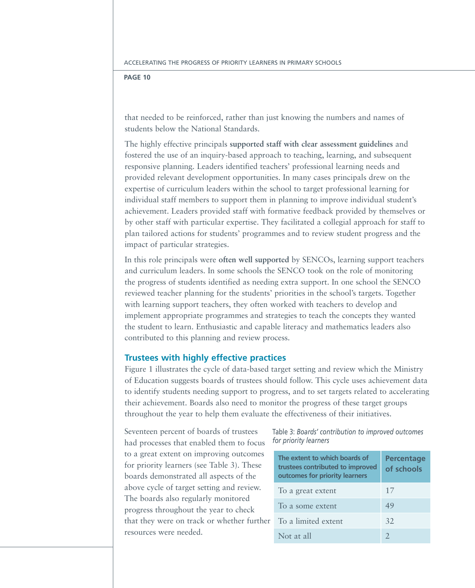that needed to be reinforced, rather than just knowing the numbers and names of students below the National Standards.

The highly effective principals **supported staff with clear assessment guidelines** and fostered the use of an inquiry-based approach to teaching, learning, and subsequent responsive planning. Leaders identified teachers' professional learning needs and provided relevant development opportunities. In many cases principals drew on the expertise of curriculum leaders within the school to target professional learning for individual staff members to support them in planning to improve individual student's achievement. Leaders provided staff with formative feedback provided by themselves or by other staff with particular expertise. They facilitated a collegial approach for staff to plan tailored actions for students' programmes and to review student progress and the impact of particular strategies.

In this role principals were **often well supported** by SENCOs, learning support teachers and curriculum leaders. In some schools the SENCO took on the role of monitoring the progress of students identified as needing extra support. In one school the SENCO reviewed teacher planning for the students' priorities in the school's targets. Together with learning support teachers, they often worked with teachers to develop and implement appropriate programmes and strategies to teach the concepts they wanted the student to learn. Enthusiastic and capable literacy and mathematics leaders also contributed to this planning and review process.

# **Trustees with highly effective practices**

Figure 1 illustrates the cycle of data-based target setting and review which the Ministry of Education suggests boards of trustees should follow. This cycle uses achievement data to identify students needing support to progress, and to set targets related to accelerating their achievement. Boards also need to monitor the progress of these target groups throughout the year to help them evaluate the effectiveness of their initiatives.

Seventeen percent of boards of trustees had processes that enabled them to focus to a great extent on improving outcomes for priority learners (see Table 3). These boards demonstrated all aspects of the above cycle of target setting and review. The boards also regularly monitored progress throughout the year to check that they were on track or whether further resources were needed.

Table 3: *Boards' contribution to improved outcomes for priority learners*

| The extent to which boards of<br>trustees contributed to improved<br>outcomes for priority learners | <b>Percentage</b><br>of schools |
|-----------------------------------------------------------------------------------------------------|---------------------------------|
| To a great extent                                                                                   | 17                              |
| To a some extent                                                                                    | 49                              |
| To a limited extent                                                                                 | 32                              |
| Not at all                                                                                          |                                 |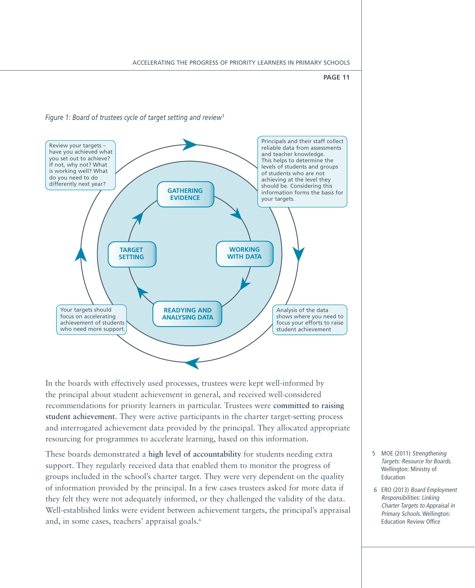

In the boards with effectively used processes, trustees were kept well-informed by the principal about student achievement in general, and received well-considered recommendations for priority learners in particular. Trustees were **committed to raising student achievement**. They were active participants in the charter target-setting process and interrogated achievement data provided by the principal. They allocated appropriate resourcing for programmes to accelerate learning, based on this information.

These boards demonstrated a **high level of accountability** for students needing extra support. They regularly received data that enabled them to monitor the progress of groups included in the school's charter target. They were very dependent on the quality of information provided by the principal. In a few cases trustees asked for more data if they felt they were not adequately informed, or they challenged the validity of the data. Well-established links were evident between achievement targets, the principal's appraisal and, in some cases, teachers' appraisal goals.<sup>6</sup>

- 5 MOE (2011) Strengthening Targets: Resource for Boards. Wellington: Ministry of Education
- 6 ERO (2013) Board Employment Responsibilities: Linking Charter Targets to Appraisal in Primary Schools. Wellington: Education Review Office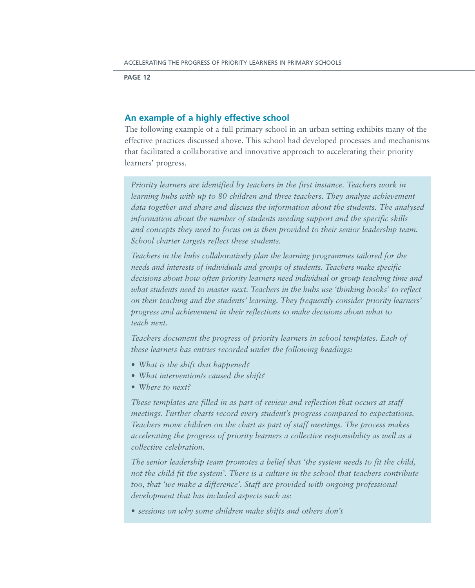# **An example of a highly effective school**

The following example of a full primary school in an urban setting exhibits many of the effective practices discussed above. This school had developed processes and mechanisms that facilitated a collaborative and innovative approach to accelerating their priority learners' progress.

*Priority learners are identified by teachers in the first instance. Teachers work in learning hubs with up to 80 children and three teachers. They analyse achievement data together and share and discuss the information about the students. The analysed information about the number of students needing support and the specific skills and concepts they need to focus on is then provided to their senior leadership team. School charter targets reflect these students.*

*Teachers in the hubs collaboratively plan the learning programmes tailored for the needs and interests of individuals and groups of students. Teachers make specific decisions about how often priority learners need individual or group teaching time and what students need to master next. Teachers in the hubs use 'thinking books' to reflect on their teaching and the students' learning. They frequently consider priority learners' progress and achievement in their reflections to make decisions about what to teach next.* 

*Teachers document the progress of priority learners in school templates. Each of these learners has entries recorded under the following headings:*

- *• What is the shift that happened?*
- *• What intervention/s caused the shift?*
- *• Where to next?*

*These templates are filled in as part of review and reflection that occurs at staff meetings. Further charts record every student's progress compared to expectations. Teachers move children on the chart as part of staff meetings. The process makes accelerating the progress of priority learners a collective responsibility as well as a collective celebration.*

*The senior leadership team promotes a belief that 'the system needs to fit the child, not the child fit the system'. There is a culture in the school that teachers contribute*  too, that 'we make a difference'. Staff are provided with ongoing professional *development that has included aspects such as:*

*• sessions on why some children make shifts and others don't*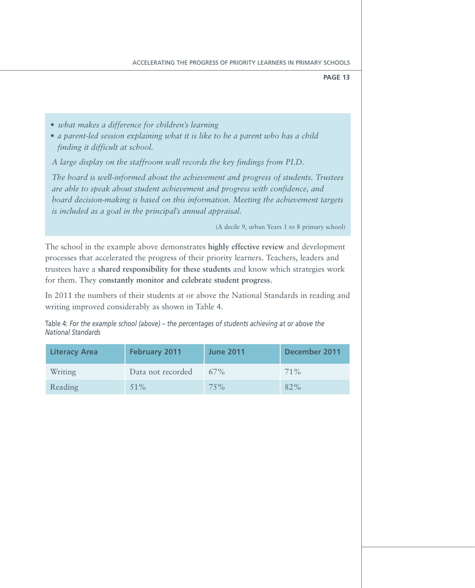- *• what makes a difference for children's learning*
- *• a parent-led session explaining what it is like to be a parent who has a child finding it difficult at school.*

*A large display on the staffroom wall records the key findings from PLD.* 

*The board is well-informed about the achievement and progress of students. Trustees are able to speak about student achievement and progress with confidence, and board decision-making is based on this information. Meeting the achievement targets is included as a goal in the principal's annual appraisal.*

(A decile 9, urban Years 1 to 8 primary school)

The school in the example above demonstrates **highly effective review** and development processes that accelerated the progress of their priority learners. Teachers, leaders and trustees have a **shared responsibility for these students** and know which strategies work for them. They **constantly monitor and celebrate student progress**.

In 2011 the numbers of their students at or above the National Standards in reading and writing improved considerably as shown in Table 4.

Table 4: *For the example school (above) – the percentages of students achieving at or above the National Standards*

| <b>Literacy Area</b> | <b>February 2011</b> | <b>June 2011</b> | December 2011 |
|----------------------|----------------------|------------------|---------------|
| <b>Writing</b>       | Data not recorded    | $67\%$           | $71\%$        |
| Reading              | $51\%$               | 75%              | 82%           |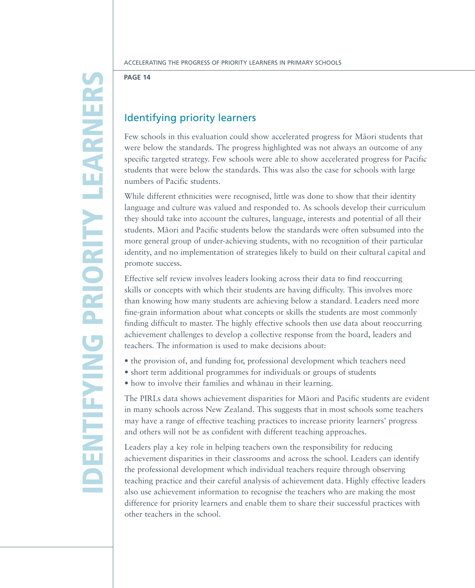# D ENTIFYING PRIORI TY LEAR NER  $\boldsymbol{\mathsf{S}}$

**Page 14**

# Identifying priority learners

Few schools in this evaluation could show accelerated progress for Maori students that were below the standards. The progress highlighted was not always an outcome of any specific targeted strategy. Few schools were able to show accelerated progress for Pacific students that were below the standards. This was also the case for schools with large numbers of Pacific students.

While different ethnicities were recognised, little was done to show that their identity language and culture was valued and responded to. As schools develop their curriculum they should take into account the cultures, language, interests and potential of all their students. Māori and Pacific students below the standards were often subsumed into the more general group of under-achieving students, with no recognition of their particular identity, and no implementation of strategies likely to build on their cultural capital and promote success*.*

Effective self review involves leaders looking across their data to find reoccurring skills or concepts with which their students are having difficulty. This involves more than knowing how many students are achieving below a standard. Leaders need more fine-grain information about what concepts or skills the students are most commonly finding difficult to master. The highly effective schools then use data about reoccurring achievement challenges to develop a collective response from the board, leaders and teachers. The information is used to make decisions about:

- the provision of, and funding for, professional development which teachers need
- short term additional programmes for individuals or groups of students
- how to involve their families and whānau in their learning.

The PIRLs data shows achievement disparities for Maori and Pacific students are evident in many schools across New Zealand. This suggests that in most schools some teachers may have a range of effective teaching practices to increase priority learners' progress and others will not be as confident with different teaching approaches.

Leaders play a key role in helping teachers own the responsibility for reducing achievement disparities in their classrooms and across the school. Leaders can identify the professional development which individual teachers require through observing teaching practice and their careful analysis of achievement data. Highly effective leaders also use achievement information to recognise the teachers who are making the most difference for priority learners and enable them to share their successful practices with other teachers in the school.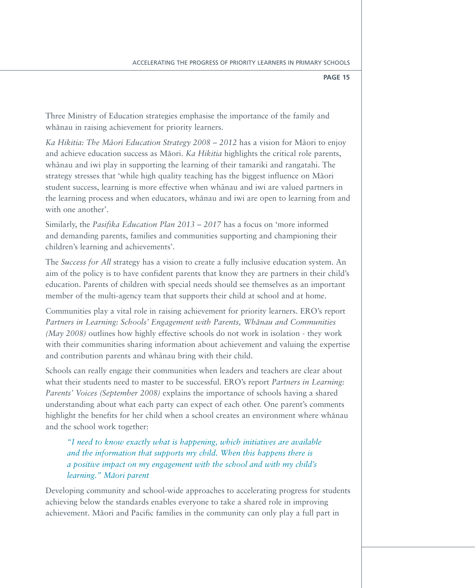Three Ministry of Education strategies emphasise the importance of the family and whānau in raising achievement for priority learners.

Ka Hikitia: The Māori Education Strategy 2008 - 2012 has a vision for Māori to enjoy and achieve education success as Māori. *Ka Hikitia* highlights the critical role parents, whanau and iwi play in supporting the learning of their tamariki and rangatahi. The strategy stresses that 'while high quality teaching has the biggest influence on Māori student success, learning is more effective when whanau and iwi are valued partners in the learning process and when educators, whanau and iwi are open to learning from and with one another'.

Similarly, the *Pasifika Education Plan 2013 – 2017* has a focus on 'more informed and demanding parents, families and communities supporting and championing their children's learning and achievements'.

The *Success for All* strategy has a vision to create a fully inclusive education system. An aim of the policy is to have confident parents that know they are partners in their child's education. Parents of children with special needs should see themselves as an important member of the multi-agency team that supports their child at school and at home.

Communities play a vital role in raising achievement for priority learners. ERO's report *Partners in Learning: Schools' Engagement with Parents, Wha-nau and Communities (May 2008)* outlines how highly effective schools do not work in isolation - they work with their communities sharing information about achievement and valuing the expertise and contribution parents and whānau bring with their child.

Schools can really engage their communities when leaders and teachers are clear about what their students need to master to be successful. ERO's report *Partners in Learning: Parents' Voices (September 2008)* explains the importance of schools having a shared understanding about what each party can expect of each other. One parent's comments highlight the benefits for her child when a school creates an environment where whanau and the school work together:

*"I need to know exactly what is happening, which initiatives are available and the information that supports my child. When this happens there is a positive impact on my engagement with the school and with my child's learning.*" Māori parent

Developing community and school-wide approaches to accelerating progress for students achieving below the standards enables everyone to take a shared role in improving achievement. Māori and Pacific families in the community can only play a full part in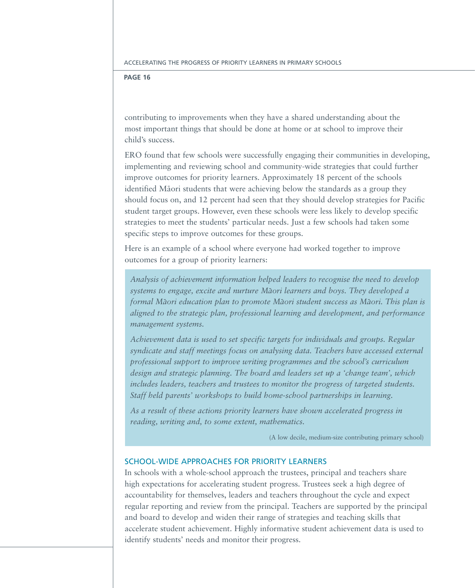contributing to improvements when they have a shared understanding about the most important things that should be done at home or at school to improve their child's success.

ERO found that few schools were successfully engaging their communities in developing, implementing and reviewing school and community-wide strategies that could further improve outcomes for priority learners. Approximately 18 percent of the schools identified Māori students that were achieving below the standards as a group they should focus on, and 12 percent had seen that they should develop strategies for Pacific student target groups. However, even these schools were less likely to develop specific strategies to meet the students' particular needs. Just a few schools had taken some specific steps to improve outcomes for these groups.

Here is an example of a school where everyone had worked together to improve outcomes for a group of priority learners:

*Analysis of achievement information helped leaders to recognise the need to develop*  systems to engage, excite and nurture Māori learners and boys. They developed a *formal Māori education plan to promote Māori student success as Māori. This plan is aligned to the strategic plan, professional learning and development, and performance management systems.* 

*Achievement data is used to set specific targets for individuals and groups. Regular syndicate and staff meetings focus on analysing data. Teachers have accessed external professional support to improve writing programmes and the school's curriculum design and strategic planning. The board and leaders set up a 'change team', which includes leaders, teachers and trustees to monitor the progress of targeted students. Staff held parents' workshops to build home-school partnerships in learning.* 

*As a result of these actions priority learners have shown accelerated progress in reading, writing and, to some extent, mathematics.*

(A low decile, medium-size contributing primary school)

# School-wide approaches for priority learners

In schools with a whole-school approach the trustees, principal and teachers share high expectations for accelerating student progress. Trustees seek a high degree of accountability for themselves, leaders and teachers throughout the cycle and expect regular reporting and review from the principal. Teachers are supported by the principal and board to develop and widen their range of strategies and teaching skills that accelerate student achievement. Highly informative student achievement data is used to identify students' needs and monitor their progress.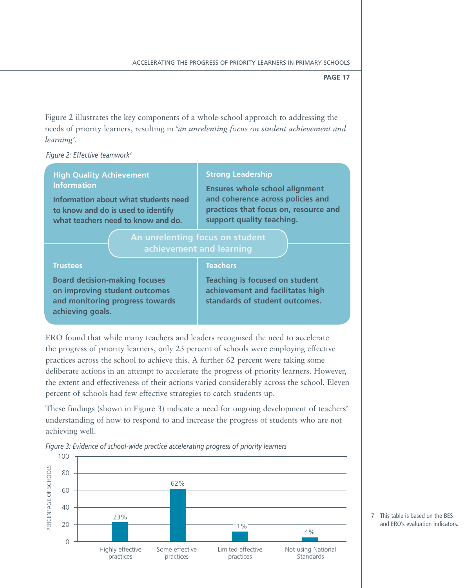Figure 2 illustrates the key components of a whole-school approach to addressing the needs of priority learners, resulting in '*an unrelenting focus on student achievement and learning'.* 

*Figure 2: Effective teamwork7*

# **High Quality Achievement Information**

**Information about what students need to know and do is used to identify what teachers need to know and do.**

# **Strong Leadership**

**Ensures whole school alignment and coherence across policies and practices that focus on, resource and support quality teaching.**

# **achievement and learning**

# **Trustees**

# **Teachers**

**Board decision-making focuses on improving student outcomes and monitoring progress towards achieving goals.**

**Teaching is focused on student achievement and facilitates high standards of student outcomes.**

ERO found that while many teachers and leaders recognised the need to accelerate the progress of priority learners, only 23 percent of schools were employing effective practices across the school to achieve this. A further 62 percent were taking some deliberate actions in an attempt to accelerate the progress of priority learners. However, the extent and effectiveness of their actions varied considerably across the school. Eleven percent of schools had few effective strategies to catch students up.

These findings (shown in Figure 3) indicate a need for ongoing development of teachers' understanding of how to respond to and increase the progress of students who are not achieving well.





7 This table is based on the BES and ERO's evaluation indicators.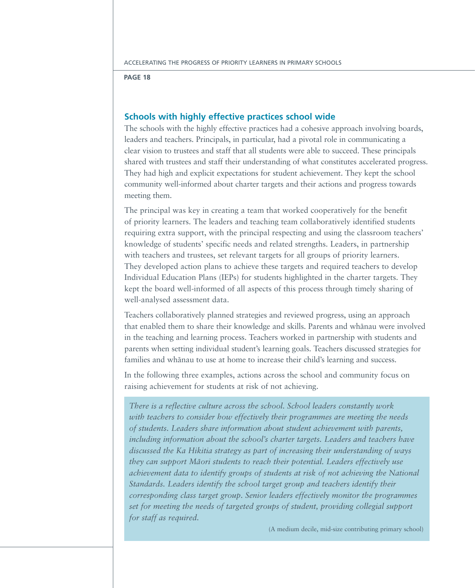# **Schools with highly effective practices school wide**

The schools with the highly effective practices had a cohesive approach involving boards, leaders and teachers. Principals, in particular, had a pivotal role in communicating a clear vision to trustees and staff that all students were able to succeed. These principals shared with trustees and staff their understanding of what constitutes accelerated progress. They had high and explicit expectations for student achievement. They kept the school community well-informed about charter targets and their actions and progress towards meeting them.

The principal was key in creating a team that worked cooperatively for the benefit of priority learners. The leaders and teaching team collaboratively identified students requiring extra support, with the principal respecting and using the classroom teachers' knowledge of students' specific needs and related strengths. Leaders, in partnership with teachers and trustees, set relevant targets for all groups of priority learners. They developed action plans to achieve these targets and required teachers to develop Individual Education Plans (IEPs) for students highlighted in the charter targets. They kept the board well-informed of all aspects of this process through timely sharing of well-analysed assessment data.

Teachers collaboratively planned strategies and reviewed progress, using an approach that enabled them to share their knowledge and skills. Parents and whānau were involved in the teaching and learning process. Teachers worked in partnership with students and parents when setting individual student's learning goals. Teachers discussed strategies for families and whānau to use at home to increase their child's learning and success.

In the following three examples, actions across the school and community focus on raising achievement for students at risk of not achieving.

*There is a reflective culture across the school. School leaders constantly work with teachers to consider how effectively their programmes are meeting the needs of students. Leaders share information about student achievement with parents, including information about the school's charter targets. Leaders and teachers have discussed the Ka Hikitia strategy as part of increasing their understanding of ways*  they can support Māori students to reach their potential. Leaders effectively use *achievement data to identify groups of students at risk of not achieving the National Standards. Leaders identify the school target group and teachers identify their corresponding class target group. Senior leaders effectively monitor the programmes set for meeting the needs of targeted groups of student, providing collegial support for staff as required.* 

(A medium decile, mid-size contributing primary school)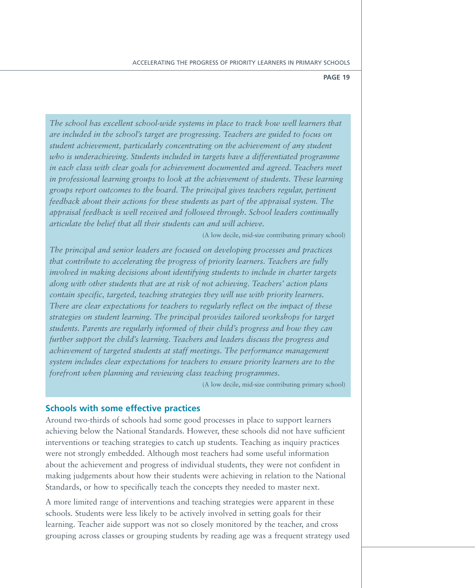*The school has excellent school-wide systems in place to track how well learners that are included in the school's target are progressing. Teachers are guided to focus on student achievement, particularly concentrating on the achievement of any student who is underachieving. Students included in targets have a differentiated programme in each class with clear goals for achievement documented and agreed. Teachers meet in professional learning groups to look at the achievement of students. These learning groups report outcomes to the board. The principal gives teachers regular, pertinent feedback about their actions for these students as part of the appraisal system. The appraisal feedback is well received and followed through. School leaders continually articulate the belief that all their students can and will achieve.* 

(A low decile, mid-size contributing primary school)

*The principal and senior leaders are focused on developing processes and practices that contribute to accelerating the progress of priority learners. Teachers are fully involved in making decisions about identifying students to include in charter targets along with other students that are at risk of not achieving. Teachers' action plans contain specific, targeted, teaching strategies they will use with priority learners. There are clear expectations for teachers to regularly reflect on the impact of these strategies on student learning. The principal provides tailored workshops for target students. Parents are regularly informed of their child's progress and how they can further support the child's learning. Teachers and leaders discuss the progress and achievement of targeted students at staff meetings. The performance management system includes clear expectations for teachers to ensure priority learners are to the forefront when planning and reviewing class teaching programmes.* 

(A low decile, mid-size contributing primary school)

# **Schools with some effective practices**

Around two-thirds of schools had some good processes in place to support learners achieving below the National Standards. However, these schools did not have sufficient interventions or teaching strategies to catch up students. Teaching as inquiry practices were not strongly embedded. Although most teachers had some useful information about the achievement and progress of individual students, they were not confident in making judgements about how their students were achieving in relation to the National Standards, or how to specifically teach the concepts they needed to master next.

A more limited range of interventions and teaching strategies were apparent in these schools. Students were less likely to be actively involved in setting goals for their learning. Teacher aide support was not so closely monitored by the teacher, and cross grouping across classes or grouping students by reading age was a frequent strategy used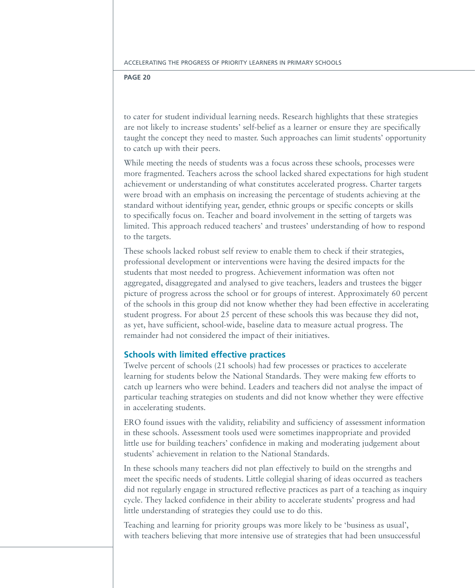to cater for student individual learning needs. Research highlights that these strategies are not likely to increase students' self-belief as a learner or ensure they are specifically taught the concept they need to master. Such approaches can limit students' opportunity to catch up with their peers.

While meeting the needs of students was a focus across these schools, processes were more fragmented. Teachers across the school lacked shared expectations for high student achievement or understanding of what constitutes accelerated progress. Charter targets were broad with an emphasis on increasing the percentage of students achieving at the standard without identifying year, gender, ethnic groups or specific concepts or skills to specifically focus on. Teacher and board involvement in the setting of targets was limited. This approach reduced teachers' and trustees' understanding of how to respond to the targets.

These schools lacked robust self review to enable them to check if their strategies, professional development or interventions were having the desired impacts for the students that most needed to progress. Achievement information was often not aggregated, disaggregated and analysed to give teachers, leaders and trustees the bigger picture of progress across the school or for groups of interest. Approximately 60 percent of the schools in this group did not know whether they had been effective in accelerating student progress. For about 25 percent of these schools this was because they did not, as yet, have sufficient, school-wide, baseline data to measure actual progress. The remainder had not considered the impact of their initiatives.

# **Schools with limited effective practices**

Twelve percent of schools (21 schools) had few processes or practices to accelerate learning for students below the National Standards. They were making few efforts to catch up learners who were behind. Leaders and teachers did not analyse the impact of particular teaching strategies on students and did not know whether they were effective in accelerating students.

ERO found issues with the validity, reliability and sufficiency of assessment information in these schools. Assessment tools used were sometimes inappropriate and provided little use for building teachers' confidence in making and moderating judgement about students' achievement in relation to the National Standards.

In these schools many teachers did not plan effectively to build on the strengths and meet the specific needs of students. Little collegial sharing of ideas occurred as teachers did not regularly engage in structured reflective practices as part of a teaching as inquiry cycle. They lacked confidence in their ability to accelerate students' progress and had little understanding of strategies they could use to do this.

Teaching and learning for priority groups was more likely to be 'business as usual', with teachers believing that more intensive use of strategies that had been unsuccessful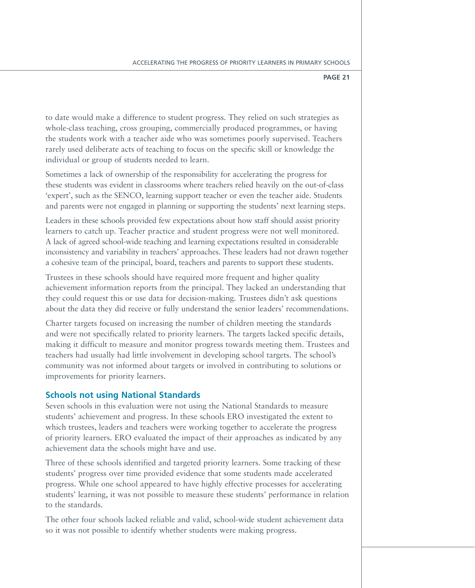to date would make a difference to student progress. They relied on such strategies as whole-class teaching, cross grouping, commercially produced programmes, or having the students work with a teacher aide who was sometimes poorly supervised. Teachers rarely used deliberate acts of teaching to focus on the specific skill or knowledge the individual or group of students needed to learn.

Sometimes a lack of ownership of the responsibility for accelerating the progress for these students was evident in classrooms where teachers relied heavily on the out-of-class 'expert', such as the SENCO, learning support teacher or even the teacher aide. Students and parents were not engaged in planning or supporting the students' next learning steps.

Leaders in these schools provided few expectations about how staff should assist priority learners to catch up. Teacher practice and student progress were not well monitored. A lack of agreed school-wide teaching and learning expectations resulted in considerable inconsistency and variability in teachers' approaches. These leaders had not drawn together a cohesive team of the principal, board, teachers and parents to support these students.

Trustees in these schools should have required more frequent and higher quality achievement information reports from the principal. They lacked an understanding that they could request this or use data for decision-making. Trustees didn't ask questions about the data they did receive or fully understand the senior leaders' recommendations.

Charter targets focused on increasing the number of children meeting the standards and were not specifically related to priority learners. The targets lacked specific details, making it difficult to measure and monitor progress towards meeting them. Trustees and teachers had usually had little involvement in developing school targets. The school's community was not informed about targets or involved in contributing to solutions or improvements for priority learners.

# **Schools not using National Standards**

Seven schools in this evaluation were not using the National Standards to measure students' achievement and progress. In these schools ERO investigated the extent to which trustees, leaders and teachers were working together to accelerate the progress of priority learners. ERO evaluated the impact of their approaches as indicated by any achievement data the schools might have and use.

Three of these schools identified and targeted priority learners. Some tracking of these students' progress over time provided evidence that some students made accelerated progress. While one school appeared to have highly effective processes for accelerating students' learning, it was not possible to measure these students' performance in relation to the standards.

The other four schools lacked reliable and valid, school-wide student achievement data so it was not possible to identify whether students were making progress.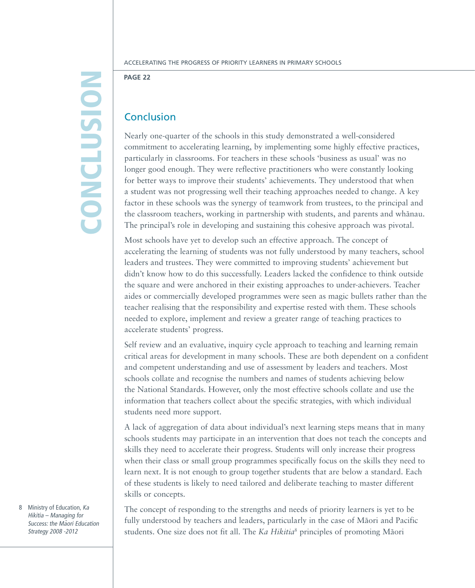# **CONC** lusio n

Accelerating the Progress of Priority Learners in Primary Schools

**Page 22**

# Conclusion

Nearly one-quarter of the schools in this study demonstrated a well-considered commitment to accelerating learning, by implementing some highly effective practices, particularly in classrooms. For teachers in these schools 'business as usual' was no longer good enough. They were reflective practitioners who were constantly looking for better ways to improve their students' achievements. They understood that when a student was not progressing well their teaching approaches needed to change. A key factor in these schools was the synergy of teamwork from trustees, to the principal and the classroom teachers, working in partnership with students, and parents and whānau. The principal's role in developing and sustaining this cohesive approach was pivotal.

Most schools have yet to develop such an effective approach. The concept of accelerating the learning of students was not fully understood by many teachers, school leaders and trustees. They were committed to improving students' achievement but didn't know how to do this successfully. Leaders lacked the confidence to think outside the square and were anchored in their existing approaches to under-achievers. Teacher aides or commercially developed programmes were seen as magic bullets rather than the teacher realising that the responsibility and expertise rested with them. These schools needed to explore, implement and review a greater range of teaching practices to accelerate students' progress.

Self review and an evaluative, inquiry cycle approach to teaching and learning remain critical areas for development in many schools. These are both dependent on a confident and competent understanding and use of assessment by leaders and teachers. Most schools collate and recognise the numbers and names of students achieving below the National Standards. However, only the most effective schools collate and use the information that teachers collect about the specific strategies, with which individual students need more support.

A lack of aggregation of data about individual's next learning steps means that in many schools students may participate in an intervention that does not teach the concepts and skills they need to accelerate their progress. Students will only increase their progress when their class or small group programmes specifically focus on the skills they need to learn next. It is not enough to group together students that are below a standard. Each of these students is likely to need tailored and deliberate teaching to master different skills or concepts.

The concept of responding to the strengths and needs of priority learners is yet to be fully understood by teachers and leaders, particularly in the case of Māori and Pacific students. One size does not fit all. The *Ka Hikitia*<sup>8</sup> principles of promoting Māori

8 Ministry of Education, Ka Hikitia – Managing for Success: the Maori Education Strategy 2008 -2012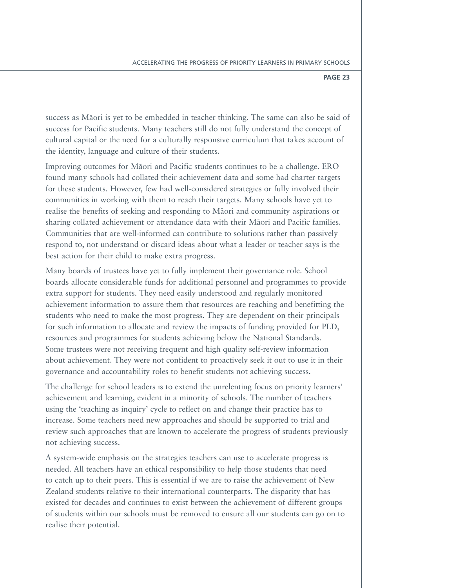success as Māori is yet to be embedded in teacher thinking. The same can also be said of success for Pacific students. Many teachers still do not fully understand the concept of cultural capital or the need for a culturally responsive curriculum that takes account of the identity, language and culture of their students.

Improving outcomes for Māori and Pacific students continues to be a challenge. ERO found many schools had collated their achievement data and some had charter targets for these students. However, few had well-considered strategies or fully involved their communities in working with them to reach their targets. Many schools have yet to realise the benefits of seeking and responding to Maori and community aspirations or sharing collated achievement or attendance data with their Māori and Pacific families. Communities that are well-informed can contribute to solutions rather than passively respond to, not understand or discard ideas about what a leader or teacher says is the best action for their child to make extra progress.

Many boards of trustees have yet to fully implement their governance role. School boards allocate considerable funds for additional personnel and programmes to provide extra support for students. They need easily understood and regularly monitored achievement information to assure them that resources are reaching and benefitting the students who need to make the most progress. They are dependent on their principals for such information to allocate and review the impacts of funding provided for PLD, resources and programmes for students achieving below the National Standards. Some trustees were not receiving frequent and high quality self-review information about achievement. They were not confident to proactively seek it out to use it in their governance and accountability roles to benefit students not achieving success.

The challenge for school leaders is to extend the unrelenting focus on priority learners' achievement and learning, evident in a minority of schools. The number of teachers using the 'teaching as inquiry' cycle to reflect on and change their practice has to increase. Some teachers need new approaches and should be supported to trial and review such approaches that are known to accelerate the progress of students previously not achieving success.

A system-wide emphasis on the strategies teachers can use to accelerate progress is needed. All teachers have an ethical responsibility to help those students that need to catch up to their peers. This is essential if we are to raise the achievement of New Zealand students relative to their international counterparts. The disparity that has existed for decades and continues to exist between the achievement of different groups of students within our schools must be removed to ensure all our students can go on to realise their potential.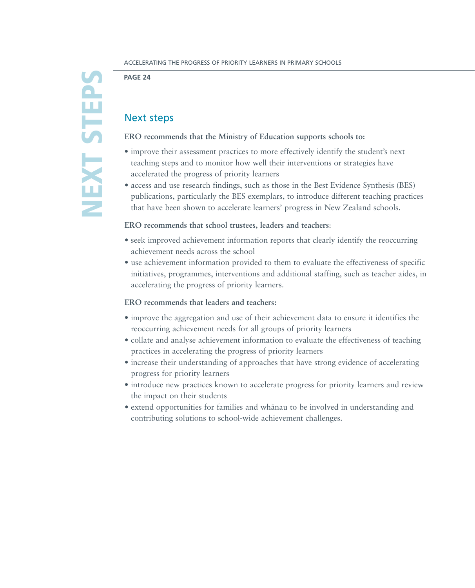# NEX T STEP  $\boldsymbol{\Omega}$

## **Page 24**

# Next steps

# **ERO recommends that the Ministry of Education supports schools to:**

- improve their assessment practices to more effectively identify the student's next teaching steps and to monitor how well their interventions or strategies have accelerated the progress of priority learners
- access and use research findings, such as those in the Best Evidence Synthesis (BES) publications, particularly the BES exemplars, to introduce different teaching practices that have been shown to accelerate learners' progress in New Zealand schools.

# **ERO recommends that school trustees, leaders and teachers**:

- seek improved achievement information reports that clearly identify the reoccurring achievement needs across the school
- • use achievement information provided to them to evaluate the effectiveness of specific initiatives, programmes, interventions and additional staffing, such as teacher aides, in accelerating the progress of priority learners.

# **ERO recommends that leaders and teachers:**

- • improve the aggregation and use of their achievement data to ensure it identifies the reoccurring achievement needs for all groups of priority learners
- collate and analyse achievement information to evaluate the effectiveness of teaching practices in accelerating the progress of priority learners
- increase their understanding of approaches that have strong evidence of accelerating progress for priority learners
- $\bullet$  introduce new practices known to accelerate progress for priority learners and review the impact on their students
- extend opportunities for families and whānau to be involved in understanding and contributing solutions to school-wide achievement challenges.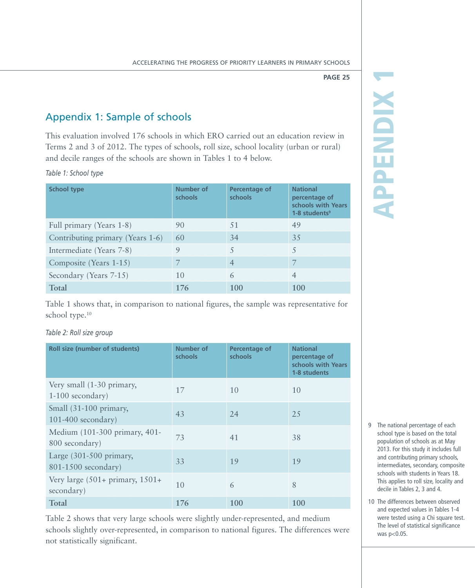# Appendix 1: Sample of schools

This evaluation involved 176 schools in which ERO carried out an education review in Terms 2 and 3 of 2012. The types of schools, roll size, school locality (urban or rural) and decile ranges of the schools are shown in Tables 1 to 4 below.

*Table 1: School type*

| <b>School type</b>               | Number of<br>schools | Percentage of<br>schools | <b>National</b><br>percentage of<br>schools with Years<br>$1-8$ students <sup>9</sup> |
|----------------------------------|----------------------|--------------------------|---------------------------------------------------------------------------------------|
| Full primary (Years 1-8)         | 90                   | 51                       | 49                                                                                    |
| Contributing primary (Years 1-6) | 60                   | 34                       | 35                                                                                    |
| Intermediate (Years 7-8)         | 9                    |                          | 5                                                                                     |
| Composite (Years 1-15)           | 7                    | $\overline{4}$           | $\overline{7}$                                                                        |
| Secondary (Years 7-15)           | 10                   | 6                        | $\overline{4}$                                                                        |
| Total                            | 176                  | 100                      | 100                                                                                   |

Table 1 shows that, in comparison to national figures, the sample was representative for school type.<sup>10</sup>

# *Table 2: Roll size group*

| <b>Roll size (number of students)</b>                    | Number of<br>schools | Percentage of<br>schools | <b>National</b><br>percentage of<br>schools with Years<br>1-8 students |
|----------------------------------------------------------|----------------------|--------------------------|------------------------------------------------------------------------|
| Very small (1-30 primary,<br>$1-100$ secondary)          | 17                   | 10                       | 10                                                                     |
| Small (31-100 primary,<br>$101-400$ secondary)           | 43                   | 24                       | 2.5                                                                    |
| Medium (101-300 primary, 401-<br>800 secondary)          | 73                   | 41                       | 38                                                                     |
| Large $(301-500)$ primary,<br>801-1500 secondary)        | 33                   | 19                       | 19                                                                     |
| Very large $(501 + \text{primary}, 1501 +$<br>secondary) | 10                   | 6                        | 8                                                                      |
| Total                                                    | 176                  | 100                      | 100                                                                    |

Table 2 shows that very large schools were slightly under-represented, and medium schools slightly over-represented, in comparison to national figures. The differences were not statistically significant.

Appendix 1 **APPENDIX** 

- 9 The national percentage of each school type is based on the total population of schools as at May 2013. For this study it includes full and contributing primary schools, intermediates, secondary, composite schools with students in Years 18. This applies to roll size, locality and decile in Tables 2, 3 and 4.
- 10 The differences between observed and expected values in Tables 1-4 were tested using a Chi square test. The level of statistical significance was p<0.05.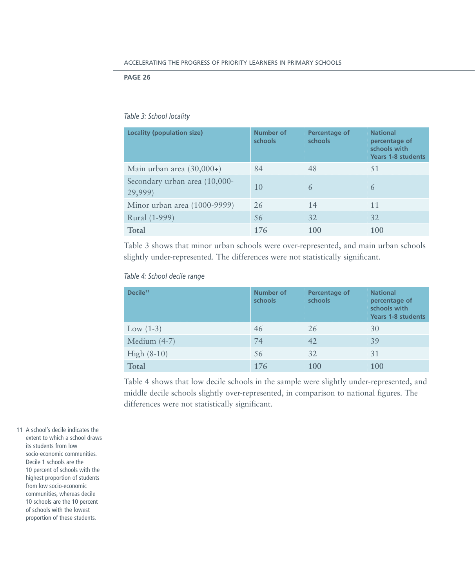# *Table 3: School locality*

| Locality (population size)               | Number of<br>schools | Percentage of<br>schools | <b>National</b><br>percentage of<br>schools with<br><b>Years 1-8 students</b> |
|------------------------------------------|----------------------|--------------------------|-------------------------------------------------------------------------------|
| Main urban area $(30,000+)$              | 84                   | 48                       | 51                                                                            |
| Secondary urban area (10,000-<br>29,999) | 10                   | 6                        | 6                                                                             |
| Minor urban area (1000-9999)             | 26                   | 14                       | 11                                                                            |
| Rural (1-999)                            | 56                   | 32                       | 32                                                                            |
| Total                                    | 176                  | 100                      | 100                                                                           |

Table 3 shows that minor urban schools were over-represented, and main urban schools slightly under-represented. The differences were not statistically significant.

*Table 4: School decile range*

| Decile <sup>11</sup> | Number of<br>schools | Percentage of<br>schools | <b>National</b><br>percentage of<br>schools with<br><b>Years 1-8 students</b> |
|----------------------|----------------------|--------------------------|-------------------------------------------------------------------------------|
| Low $(1-3)$          | 46                   | 26                       | 30                                                                            |
| Medium $(4-7)$       | 74                   | 42                       | 39                                                                            |
| High $(8-10)$        | 56                   | 32                       | 31                                                                            |
| Total                | 176                  | 100                      | 100                                                                           |

Table 4 shows that low decile schools in the sample were slightly under-represented, and middle decile schools slightly over-represented, in comparison to national figures. The differences were not statistically significant.

11 A school's decile indicates the extent to which a school draws its students from low socio-economic communities. Decile 1 schools are the 10 percent of schools with the highest proportion of students from low socio-economic communities, whereas decile 10 schools are the 10 percent of schools with the lowest proportion of these students.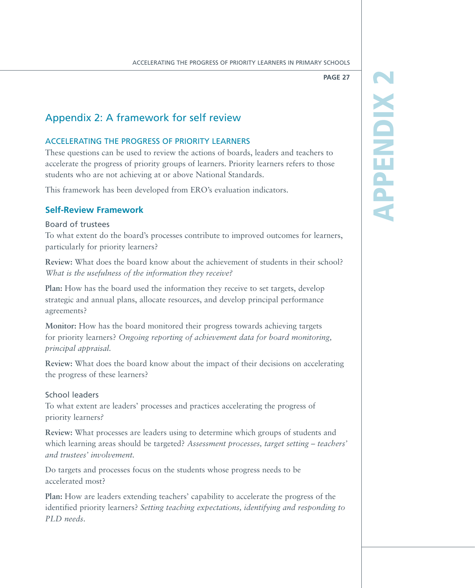Appendix 2

**APPENDIX** 

# Appendix 2: A framework for self review

# Accelerating the progress of priority learners

These questions can be used to review the actions of boards, leaders and teachers to accelerate the progress of priority groups of learners. Priority learners refers to those students who are not achieving at or above National Standards.

This framework has been developed from ERO's evaluation indicators.

# **Self-Review Framework**

# Board of trustees

To what extent do the board's processes contribute to improved outcomes for learners, particularly for priority learners?

**Review:** What does the board know about the achievement of students in their school? *What is the usefulness of the information they receive?*

**Plan:** How has the board used the information they receive to set targets, develop strategic and annual plans, allocate resources, and develop principal performance agreements?

**Monitor:** How has the board monitored their progress towards achieving targets for priority learners? *Ongoing reporting of achievement data for board monitoring, principal appraisal.*

**Review:** What does the board know about the impact of their decisions on accelerating the progress of these learners?

# School leaders

To what extent are leaders' processes and practices accelerating the progress of priority learners*?*

**Review:** What processes are leaders using to determine which groups of students and which learning areas should be targeted? *Assessment processes, target setting – teachers' and trustees' involvement.*

Do targets and processes focus on the students whose progress needs to be accelerated most?

**Plan:** How are leaders extending teachers' capability to accelerate the progress of the identified priority learners? *Setting teaching expectations, identifying and responding to PLD needs*.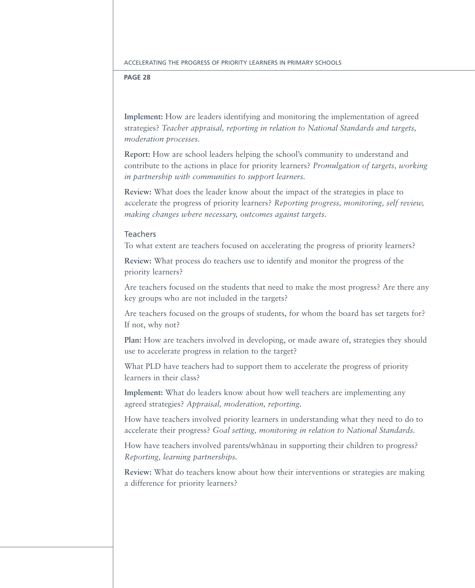**Implement:** How are leaders identifying and monitoring the implementation of agreed strategies? *Teacher appraisal, reporting in relation to National Standards and targets, moderation processes.*

**Report:** How are school leaders helping the school's community to understand and contribute to the actions in place for priority learners? *Promulgation of targets, working in partnership with communities to support learners.*

**Review:** What does the leader know about the impact of the strategies in place to accelerate the progress of priority learners? *Reporting progress, monitoring, self review, making changes where necessary, outcomes against targets.*

# Teachers

To what extent are teachers focused on accelerating the progress of priority learners?

**Review:** What process do teachers use to identify and monitor the progress of the priority learners?

Are teachers focused on the students that need to make the most progress? Are there any key groups who are not included in the targets?

Are teachers focused on the groups of students, for whom the board has set targets for? If not, why not?

**Plan:** How are teachers involved in developing, or made aware of, strategies they should use to accelerate progress in relation to the target?

What PLD have teachers had to support them to accelerate the progress of priority learners in their class?

**Implement:** What do leaders know about how well teachers are implementing any agreed strategies? *Appraisal, moderation, reporting.*

How have teachers involved priority learners in understanding what they need to do to accelerate their progress? *Goal setting, monitoring in relation to National Standards.*

How have teachers involved parents/whanau in supporting their children to progress? *Reporting, learning partnerships.*

**Review:** What do teachers know about how their interventions or strategies are making a difference for priority learners?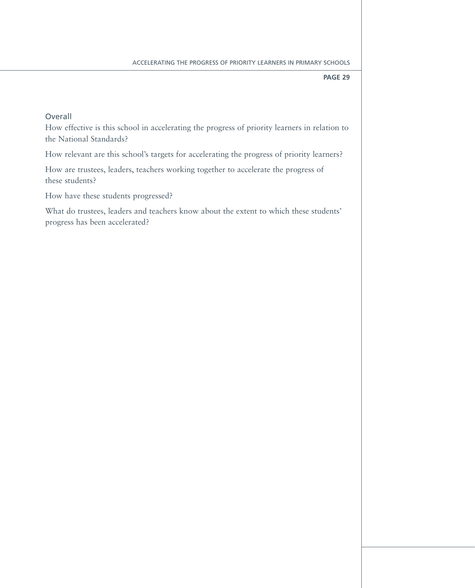# Overall

How effective is this school in accelerating the progress of priority learners in relation to the National Standards?

How relevant are this school's targets for accelerating the progress of priority learners?

How are trustees, leaders, teachers working together to accelerate the progress of these students?

How have these students progressed?

What do trustees, leaders and teachers know about the extent to which these students' progress has been accelerated?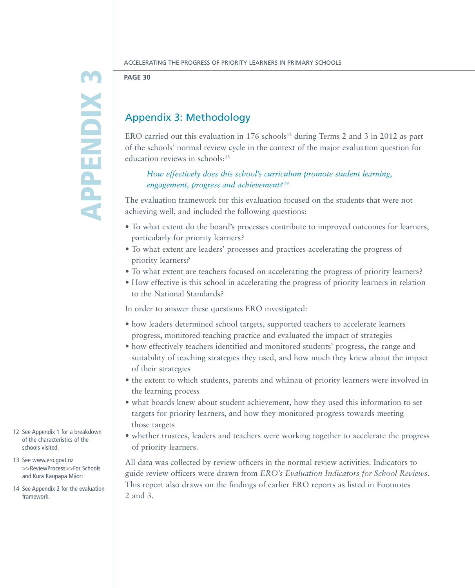# **APPENDIX 3** Appendix 3

Accelerating the Progress of Priority Learners in Primary Schools

**Page 30**

# Appendix 3: Methodology

ERO carried out this evaluation in  $176$  schools<sup>12</sup> during Terms 2 and 3 in 2012 as part of the schools' normal review cycle in the context of the major evaluation question for education reviews in schools:<sup>13</sup>

# *How effectively does this school's curriculum promote student learning, engagement, progress and achievement?<sup>14</sup>*

The evaluation framework for this evaluation focused on the students that were not achieving well, and included the following questions:

- • To what extent do the board's processes contribute to improved outcomes for learners, particularly for priority learners?
- To what extent are leaders' processes and practices accelerating the progress of priority learners*?*
- To what extent are teachers focused on accelerating the progress of priority learners?
- • How effective is this school in accelerating the progress of priority learners in relation to the National Standards?

In order to answer these questions ERO investigated:

- how leaders determined school targets, supported teachers to accelerate learners progress, monitored teaching practice and evaluated the impact of strategies
- • how effectively teachers identified and monitored students' progress, the range and suitability of teaching strategies they used, and how much they knew about the impact of their strategies
- the extent to which students, parents and whanau of priority learners were involved in the learning process
- • what boards knew about student achievement, how they used this information to set targets for priority learners, and how they monitored progress towards meeting those targets
- whether trustees, leaders and teachers were working together to accelerate the progress of priority learners.

All data was collected by review officers in the normal review activities. Indicators to guide review officers were drawn from *ERO's Evaluation Indicators for School Reviews.*  This report also draws on the findings of earlier ERO reports as listed in Footnotes 2 and 3.

- 12 See Appendix 1 for a breakdown of the characteristics of the schools visited.
- 13 See [www.ero.govt.nz](http://www.ero.govt.nz/Review-Process/For)  [>>ReviewProcess](http://www.ero.govt.nz/Review-Process/For)>>For Schools and Kura Kaupapa Māori
- 14 See Appendix 2 for the evaluation framework.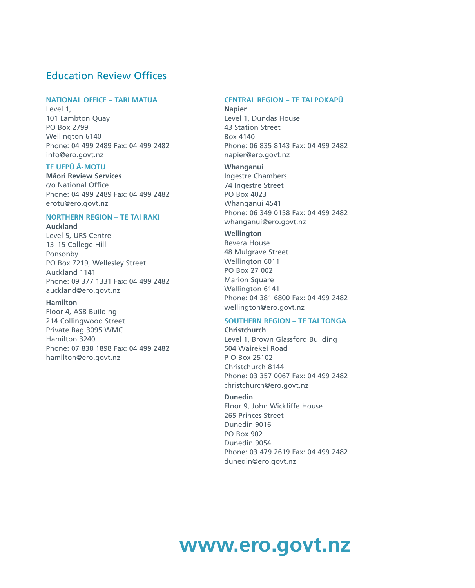# Education Review Offices

# **NATIONAL OFFICE – TARI MATUA**

Level 1, 101 Lambton Quay PO Box 2799 Wellington 6140 Phone: 04 499 2489 Fax: 04 499 2482 info@ero.govt.nz

# **TE UEPU¯ A¯ -MOTU**

**Ma¯ori Review Services** c/o National Office Phone: 04 499 2489 Fax: 04 499 2482 erotu@ero.govt.nz

# **NORTHERN REGION – TE TAI RAKI**

**Auckland** Level 5, URS Centre 13–15 College Hill Ponsonby PO Box 7219, Wellesley Street Auckland 1141 Phone: 09 377 1331 Fax: 04 499 2482 auckland@ero.govt.nz

# **Hamilton**

Floor 4, ASB Building 214 Collingwood Street Private Bag 3095 WMC Hamilton 3240 Phone: 07 838 1898 Fax: 04 499 2482 hamilton@ero.govt.nz

# **CENTRAL REGION – TE TAI POKAPU¯**

**Napier** Level 1, Dundas House 43 Station Street Box 4140 Phone: 06 835 8143 Fax: 04 499 2482 napier@ero.govt.nz

# **Whanganui**

Ingestre Chambers 74 Ingestre Street PO Box 4023 Whanganui 4541 Phone: 06 349 0158 Fax: 04 499 2482 whanganui@ero.govt.nz

# **Wellington**

Revera House 48 Mulgrave Street Wellington 6011 PO Box 27 002 Marion Square Wellington 6141 Phone: 04 381 6800 Fax: 04 499 2482 wellington@ero.govt.nz

#### **SOUTHERN REGION – TE TAI TONGA Christchurch**

Level 1, Brown Glassford Building 504 Wairekei Road P O Box 25102 Christchurch 8144 Phone: 03 357 0067 Fax: 04 499 2482 christchurch@ero.govt.nz

# **Dunedin**

Floor 9, John Wickliffe House 265 Princes Street Dunedin 9016 PO Box 902 Dunedin 9054 Phone: 03 479 2619 Fax: 04 499 2482 dunedin@ero.govt.nz

# **www.ero.govt.nz**